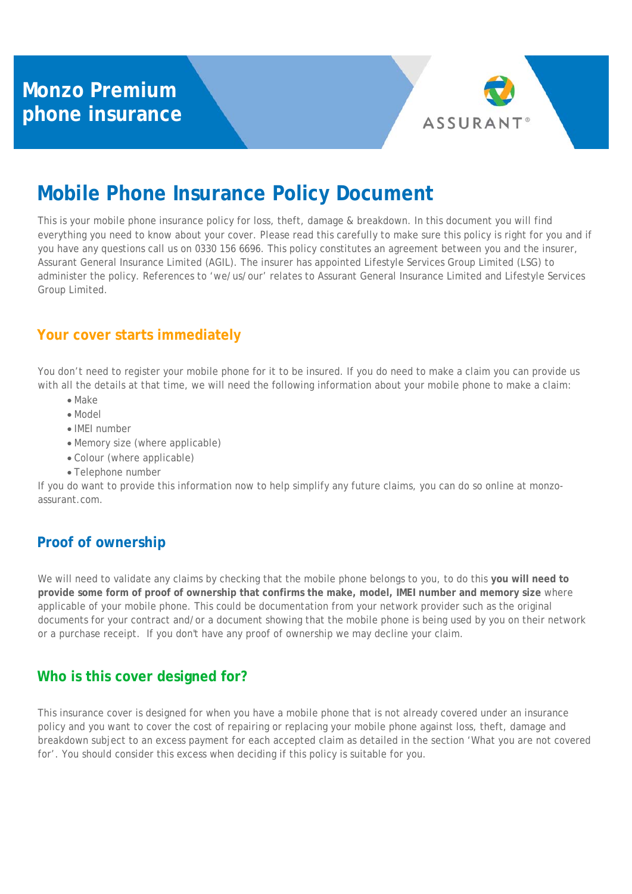

# **Mobile Phone Insurance Policy Document**

This is your mobile phone insurance policy for loss, theft, damage & breakdown. In this document you will find everything you need to know about your cover. Please read this carefully to make sure this policy is right for you and if you have any questions call us on 0330 156 6696. This policy constitutes an agreement between you and the insurer, Assurant General Insurance Limited (AGIL). The insurer has appointed Lifestyle Services Group Limited (LSG) to administer the policy. References to 'we/us/our' relates to Assurant General Insurance Limited and Lifestyle Services Group Limited.

# **Your cover starts immediately**

You don't need to register your mobile phone for it to be insured. If you do need to make a claim you can provide us with all the details at that time, we will need the following information about your mobile phone to make a claim:

- Make
- Model
- IMEI number
- Memory size (where applicable)
- Colour (where applicable)
- Telephone number

If you do want to provide this information now to help simplify any future claims, you can do so online at monzoassurant.com.

# **Proof of ownership**

We will need to validate any claims by checking that the mobile phone belongs to you, to do this **you will need to provide some form of proof of ownership that confirms the make, model, IMEI number and memory size** where applicable of your mobile phone. This could be documentation from your network provider such as the original documents for your contract and/or a document showing that the mobile phone is being used by you on their network or a purchase receipt. If you don't have any proof of ownership we may decline your claim.

### **Who is this cover designed for?**

This insurance cover is designed for when you have a mobile phone that is not already covered under an insurance policy and you want to cover the cost of repairing or replacing your mobile phone against loss, theft, damage and breakdown subject to an excess payment for each accepted claim as detailed in the section 'What you are not covered for'. You should consider this excess when deciding if this policy is suitable for you.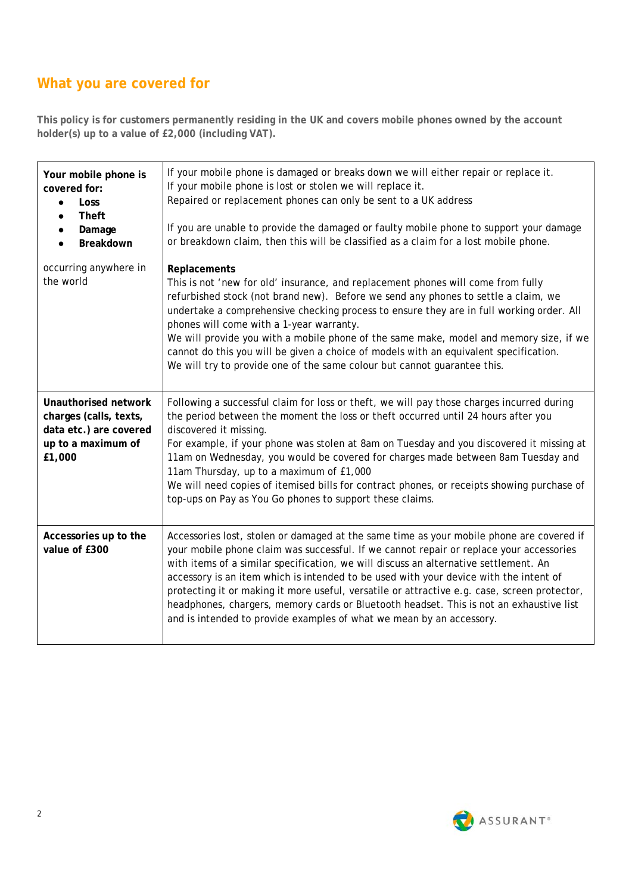# **What you are covered for**

**This policy is for customers permanently residing in the UK and covers mobile phones owned by the account holder(s) up to a value of £2,000 (including VAT).** 

| Your mobile phone is<br>covered for:<br><b>Loss</b><br>$\bullet$<br><b>Theft</b><br>$\bullet$<br>Damage<br>$\bullet$<br>Breakdown<br>$\bullet$ | If your mobile phone is damaged or breaks down we will either repair or replace it.<br>If your mobile phone is lost or stolen we will replace it.<br>Repaired or replacement phones can only be sent to a UK address<br>If you are unable to provide the damaged or faulty mobile phone to support your damage<br>or breakdown claim, then this will be classified as a claim for a lost mobile phone.                                                                                                                                                                                                                                  |
|------------------------------------------------------------------------------------------------------------------------------------------------|-----------------------------------------------------------------------------------------------------------------------------------------------------------------------------------------------------------------------------------------------------------------------------------------------------------------------------------------------------------------------------------------------------------------------------------------------------------------------------------------------------------------------------------------------------------------------------------------------------------------------------------------|
| occurring anywhere in<br>the world                                                                                                             | Replacements<br>This is not 'new for old' insurance, and replacement phones will come from fully<br>refurbished stock (not brand new). Before we send any phones to settle a claim, we<br>undertake a comprehensive checking process to ensure they are in full working order. All<br>phones will come with a 1-year warranty.<br>We will provide you with a mobile phone of the same make, model and memory size, if we<br>cannot do this you will be given a choice of models with an equivalent specification.<br>We will try to provide one of the same colour but cannot guarantee this.                                           |
| Unauthorised network<br>charges (calls, texts,<br>data etc.) are covered<br>up to a maximum of<br>£1,000                                       | Following a successful claim for loss or theft, we will pay those charges incurred during<br>the period between the moment the loss or theft occurred until 24 hours after you<br>discovered it missing.<br>For example, if your phone was stolen at 8am on Tuesday and you discovered it missing at<br>11am on Wednesday, you would be covered for charges made between 8am Tuesday and<br>11am Thursday, up to a maximum of £1,000<br>We will need copies of itemised bills for contract phones, or receipts showing purchase of<br>top-ups on Pay as You Go phones to support these claims.                                          |
| Accessories up to the<br>value of £300                                                                                                         | Accessories lost, stolen or damaged at the same time as your mobile phone are covered if<br>your mobile phone claim was successful. If we cannot repair or replace your accessories<br>with items of a similar specification, we will discuss an alternative settlement. An<br>accessory is an item which is intended to be used with your device with the intent of<br>protecting it or making it more useful, versatile or attractive e.g. case, screen protector,<br>headphones, chargers, memory cards or Bluetooth headset. This is not an exhaustive list<br>and is intended to provide examples of what we mean by an accessory. |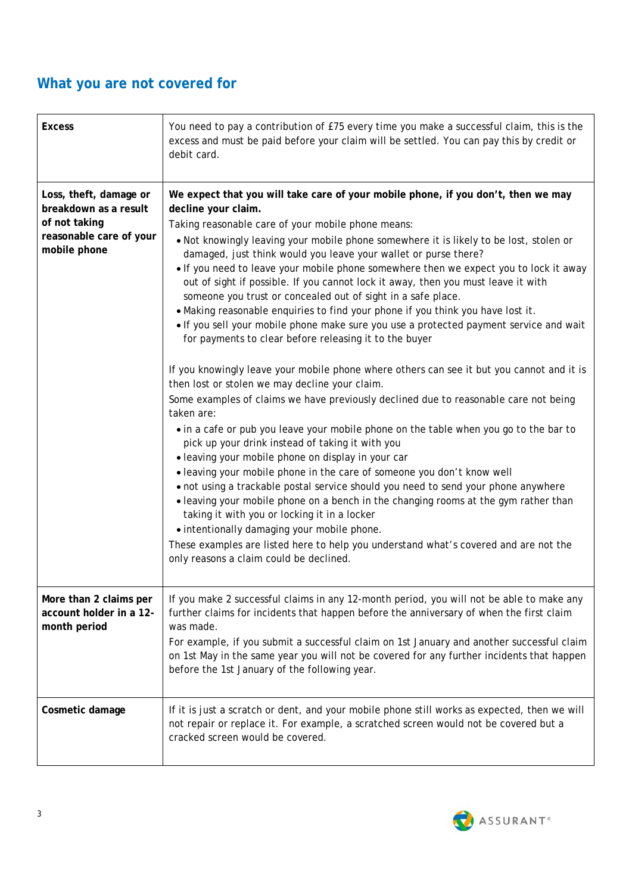# **What you are not covered for**

| <b>Excess</b>                                                                                               | You need to pay a contribution of £75 every time you make a successful claim, this is the<br>excess and must be paid before your claim will be settled. You can pay this by credit or<br>debit card.                                                                                                                                                                                                                                                                                                                                                                                                                                                                                                                                                                                                                                                                                                                                                                                                                                                                                                                                                                                                                                                                                                                                                                                                                                                                                                                                                                                                                                                                                                                                                              |
|-------------------------------------------------------------------------------------------------------------|-------------------------------------------------------------------------------------------------------------------------------------------------------------------------------------------------------------------------------------------------------------------------------------------------------------------------------------------------------------------------------------------------------------------------------------------------------------------------------------------------------------------------------------------------------------------------------------------------------------------------------------------------------------------------------------------------------------------------------------------------------------------------------------------------------------------------------------------------------------------------------------------------------------------------------------------------------------------------------------------------------------------------------------------------------------------------------------------------------------------------------------------------------------------------------------------------------------------------------------------------------------------------------------------------------------------------------------------------------------------------------------------------------------------------------------------------------------------------------------------------------------------------------------------------------------------------------------------------------------------------------------------------------------------------------------------------------------------------------------------------------------------|
| Loss, theft, damage or<br>breakdown as a result<br>of not taking<br>reasonable care of your<br>mobile phone | We expect that you will take care of your mobile phone, if you don't, then we may<br>decline your claim.<br>Taking reasonable care of your mobile phone means:<br>. Not knowingly leaving your mobile phone somewhere it is likely to be lost, stolen or<br>damaged, just think would you leave your wallet or purse there?<br>. If you need to leave your mobile phone somewhere then we expect you to lock it away<br>out of sight if possible. If you cannot lock it away, then you must leave it with<br>someone you trust or concealed out of sight in a safe place.<br>. Making reasonable enquiries to find your phone if you think you have lost it.<br>. If you sell your mobile phone make sure you use a protected payment service and wait<br>for payments to clear before releasing it to the buyer<br>If you knowingly leave your mobile phone where others can see it but you cannot and it is<br>then lost or stolen we may decline your claim.<br>Some examples of claims we have previously declined due to reasonable care not being<br>taken are:<br>• in a cafe or pub you leave your mobile phone on the table when you go to the bar to<br>pick up your drink instead of taking it with you<br>· leaving your mobile phone on display in your car<br>• leaving your mobile phone in the care of someone you don't know well<br>. not using a trackable postal service should you need to send your phone anywhere<br>• leaving your mobile phone on a bench in the changing rooms at the gym rather than<br>taking it with you or locking it in a locker<br>• intentionally damaging your mobile phone.<br>These examples are listed here to help you understand what's covered and are not the<br>only reasons a claim could be declined. |
| More than 2 claims per<br>account holder in a 12-<br>month period                                           | If you make 2 successful claims in any 12-month period, you will not be able to make any<br>further claims for incidents that happen before the anniversary of when the first claim<br>was made.<br>For example, if you submit a successful claim on 1st January and another successful claim<br>on 1st May in the same year you will not be covered for any further incidents that happen<br>before the 1st January of the following year.                                                                                                                                                                                                                                                                                                                                                                                                                                                                                                                                                                                                                                                                                                                                                                                                                                                                                                                                                                                                                                                                                                                                                                                                                                                                                                                       |
| Cosmetic damage                                                                                             | If it is just a scratch or dent, and your mobile phone still works as expected, then we will<br>not repair or replace it. For example, a scratched screen would not be covered but a<br>cracked screen would be covered.                                                                                                                                                                                                                                                                                                                                                                                                                                                                                                                                                                                                                                                                                                                                                                                                                                                                                                                                                                                                                                                                                                                                                                                                                                                                                                                                                                                                                                                                                                                                          |

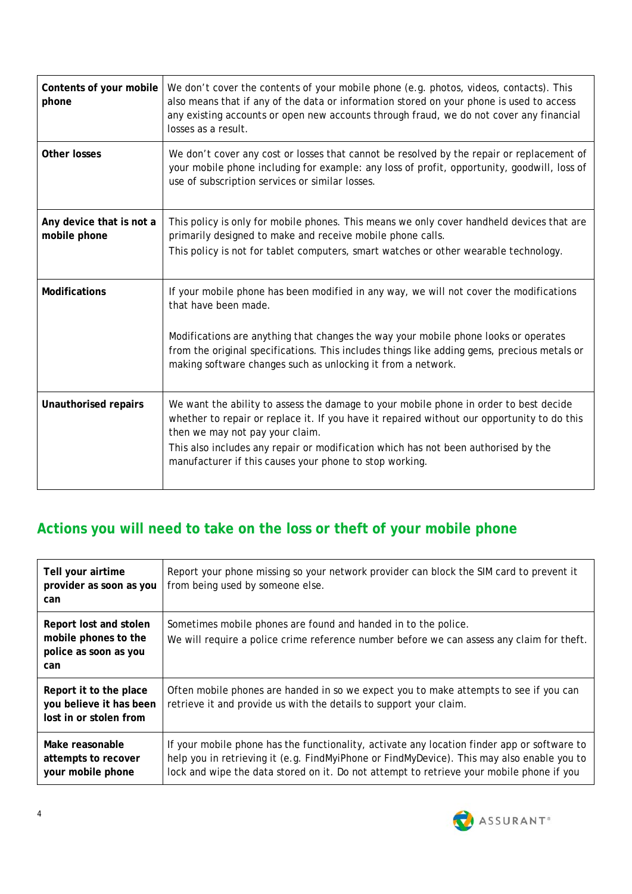| Contents of your mobile<br>phone         | We don't cover the contents of your mobile phone (e.g. photos, videos, contacts). This<br>also means that if any of the data or information stored on your phone is used to access<br>any existing accounts or open new accounts through fraud, we do not cover any financial<br>losses as a result.                                                                     |
|------------------------------------------|--------------------------------------------------------------------------------------------------------------------------------------------------------------------------------------------------------------------------------------------------------------------------------------------------------------------------------------------------------------------------|
| <b>Other losses</b>                      | We don't cover any cost or losses that cannot be resolved by the repair or replacement of<br>your mobile phone including for example: any loss of profit, opportunity, goodwill, loss of<br>use of subscription services or similar losses.                                                                                                                              |
| Any device that is not a<br>mobile phone | This policy is only for mobile phones. This means we only cover handheld devices that are<br>primarily designed to make and receive mobile phone calls.<br>This policy is not for tablet computers, smart watches or other wearable technology.                                                                                                                          |
| <b>Modifications</b>                     | If your mobile phone has been modified in any way, we will not cover the modifications<br>that have been made.<br>Modifications are anything that changes the way your mobile phone looks or operates<br>from the original specifications. This includes things like adding gems, precious metals or<br>making software changes such as unlocking it from a network.     |
| Unauthorised repairs                     | We want the ability to assess the damage to your mobile phone in order to best decide<br>whether to repair or replace it. If you have it repaired without our opportunity to do this<br>then we may not pay your claim.<br>This also includes any repair or modification which has not been authorised by the<br>manufacturer if this causes your phone to stop working. |

# **Actions you will need to take on the loss or theft of your mobile phone**

| Tell your airtime<br>provider as soon as you<br>can                            | Report your phone missing so your network provider can block the SIM card to prevent it<br>from being used by someone else.                                                                                                                                                           |
|--------------------------------------------------------------------------------|---------------------------------------------------------------------------------------------------------------------------------------------------------------------------------------------------------------------------------------------------------------------------------------|
| Report lost and stolen<br>mobile phones to the<br>police as soon as you<br>can | Sometimes mobile phones are found and handed in to the police.<br>We will require a police crime reference number before we can assess any claim for theft.                                                                                                                           |
| Report it to the place<br>you believe it has been<br>lost in or stolen from    | Often mobile phones are handed in so we expect you to make attempts to see if you can<br>retrieve it and provide us with the details to support your claim.                                                                                                                           |
| Make reasonable<br>attempts to recover<br>your mobile phone                    | If your mobile phone has the functionality, activate any location finder app or software to<br>help you in retrieving it (e.g. FindMyiPhone or FindMyDevice). This may also enable you to<br>lock and wipe the data stored on it. Do not attempt to retrieve your mobile phone if you |

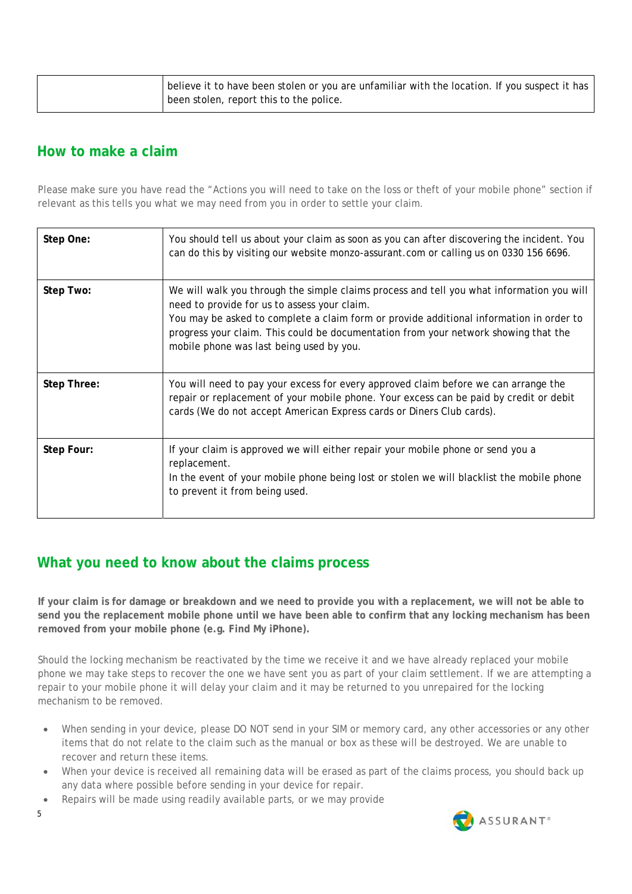|  | believe it to have been stolen or you are unfamiliar with the location. If you suspect it has<br>I been stolen, report this to the police. |
|--|--------------------------------------------------------------------------------------------------------------------------------------------|
|  |                                                                                                                                            |

#### **How to make a claim**

Please make sure you have read the "Actions you will need to take on the loss or theft of your mobile phone" section if relevant as this tells you what we may need from you in order to settle your claim.

| Step One:   | You should tell us about your claim as soon as you can after discovering the incident. You<br>can do this by visiting our website monzo-assurant.com or calling us on 0330 156 6696.                                                                                                                                                                                    |
|-------------|-------------------------------------------------------------------------------------------------------------------------------------------------------------------------------------------------------------------------------------------------------------------------------------------------------------------------------------------------------------------------|
| Step Two:   | We will walk you through the simple claims process and tell you what information you will<br>need to provide for us to assess your claim.<br>You may be asked to complete a claim form or provide additional information in order to<br>progress your claim. This could be documentation from your network showing that the<br>mobile phone was last being used by you. |
| Step Three: | You will need to pay your excess for every approved claim before we can arrange the<br>repair or replacement of your mobile phone. Your excess can be paid by credit or debit<br>cards (We do not accept American Express cards or Diners Club cards).                                                                                                                  |
| Step Four:  | If your claim is approved we will either repair your mobile phone or send you a<br>replacement.<br>In the event of your mobile phone being lost or stolen we will blacklist the mobile phone<br>to prevent it from being used.                                                                                                                                          |

### **What you need to know about the claims process**

**If your claim is for damage or breakdown and we need to provide you with a replacement, we will not be able to send you the replacement mobile phone until we have been able to confirm that any locking mechanism has been removed from your mobile phone (e.g. Find My iPhone).** 

Should the locking mechanism be reactivated by the time we receive it and we have already replaced your mobile phone we may take steps to recover the one we have sent you as part of your claim settlement. If we are attempting a repair to your mobile phone it will delay your claim and it may be returned to you unrepaired for the locking mechanism to be removed.

- When sending in your device, please DO NOT send in your SIM or memory card, any other accessories or any other items that do not relate to the claim such as the manual or box as these will be destroyed. We are unable to recover and return these items.
- When your device is received all remaining data will be erased as part of the claims process, you should back up any data where possible before sending in your device for repair.
- Repairs will be made using readily available parts, or we may provide



5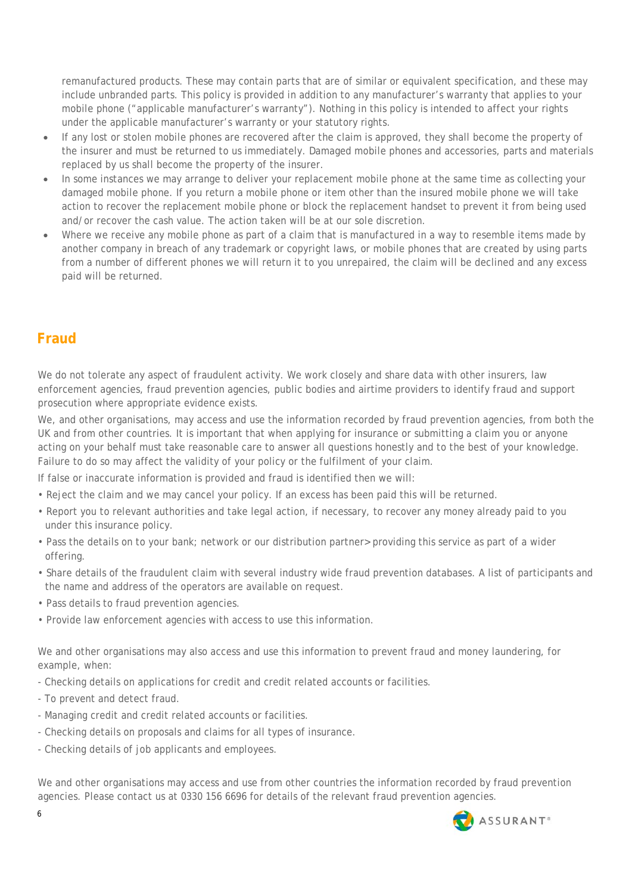remanufactured products. These may contain parts that are of similar or equivalent specification, and these may include unbranded parts. This policy is provided in addition to any manufacturer's warranty that applies to your mobile phone ("applicable manufacturer's warranty"). Nothing in this policy is intended to affect your rights under the applicable manufacturer's warranty or your statutory rights.

- If any lost or stolen mobile phones are recovered after the claim is approved, they shall become the property of the insurer and must be returned to us immediately. Damaged mobile phones and accessories, parts and materials replaced by us shall become the property of the insurer.
- In some instances we may arrange to deliver your replacement mobile phone at the same time as collecting your damaged mobile phone. If you return a mobile phone or item other than the insured mobile phone we will take action to recover the replacement mobile phone or block the replacement handset to prevent it from being used and/or recover the cash value. The action taken will be at our sole discretion.
- Where we receive any mobile phone as part of a claim that is manufactured in a way to resemble items made by another company in breach of any trademark or copyright laws, or mobile phones that are created by using parts from a number of different phones we will return it to you unrepaired, the claim will be declined and any excess paid will be returned.

# **Fraud**

We do not tolerate any aspect of fraudulent activity. We work closely and share data with other insurers, law enforcement agencies, fraud prevention agencies, public bodies and airtime providers to identify fraud and support prosecution where appropriate evidence exists.

We, and other organisations, may access and use the information recorded by fraud prevention agencies, from both the UK and from other countries. It is important that when applying for insurance or submitting a claim you or anyone acting on your behalf must take reasonable care to answer all questions honestly and to the best of your knowledge. Failure to do so may affect the validity of your policy or the fulfilment of your claim.

If false or inaccurate information is provided and fraud is identified then we will:

- Reject the claim and we may cancel your policy. If an excess has been paid this will be returned.
- Report you to relevant authorities and take legal action, if necessary, to recover any money already paid to you under this insurance policy.
- Pass the details on to your bank; network or our distribution partner> providing this service as part of a wider offering.
- Share details of the fraudulent claim with several industry wide fraud prevention databases. A list of participants and the name and address of the operators are available on request.
- Pass details to fraud prevention agencies.
- Provide law enforcement agencies with access to use this information.

We and other organisations may also access and use this information to prevent fraud and money laundering, for example, when:

- Checking details on applications for credit and credit related accounts or facilities.
- To prevent and detect fraud.
- Managing credit and credit related accounts or facilities.
- Checking details on proposals and claims for all types of insurance.
- Checking details of job applicants and employees.

We and other organisations may access and use from other countries the information recorded by fraud prevention agencies. Please contact us at 0330 156 6696 for details of the relevant fraud prevention agencies.

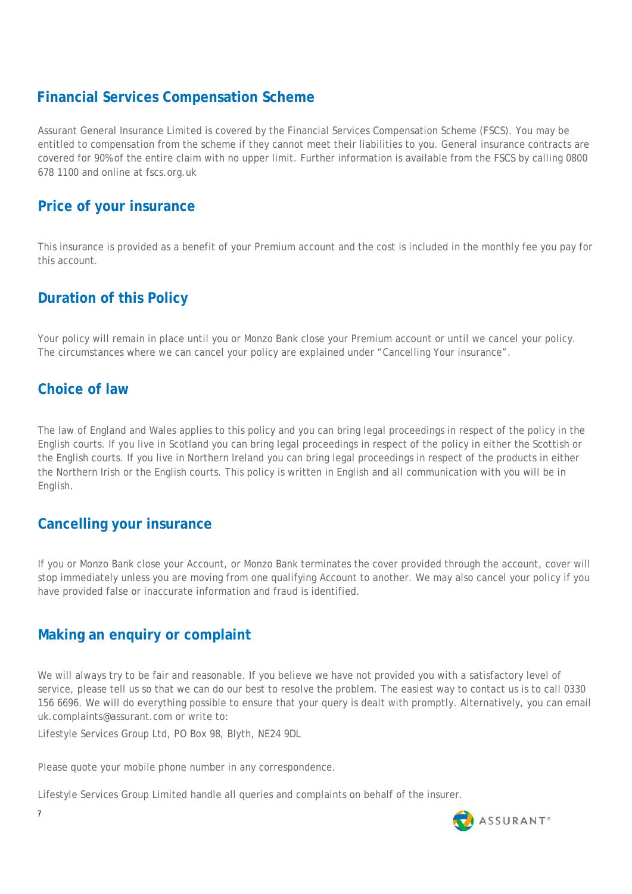# **Financial Services Compensation Scheme**

Assurant General Insurance Limited is covered by the Financial Services Compensation Scheme (FSCS). You may be entitled to compensation from the scheme if they cannot meet their liabilities to you. General insurance contracts are covered for 90% of the entire claim with no upper limit. Further information is available from the FSCS by calling 0800 678 1100 and online at fscs.org.uk

# **Price of your insurance**

This insurance is provided as a benefit of your Premium account and the cost is included in the monthly fee you pay for this account.

# **Duration of this Policy**

Your policy will remain in place until you or Monzo Bank close your Premium account or until we cancel your policy. The circumstances where we can cancel your policy are explained under "Cancelling Your insurance".

# **Choice of law**

The law of England and Wales applies to this policy and you can bring legal proceedings in respect of the policy in the English courts. If you live in Scotland you can bring legal proceedings in respect of the policy in either the Scottish or the English courts. If you live in Northern Ireland you can bring legal proceedings in respect of the products in either the Northern Irish or the English courts. This policy is written in English and all communication with you will be in English.

### **Cancelling your insurance**

If you or Monzo Bank close your Account, or Monzo Bank terminates the cover provided through the account, cover will stop immediately unless you are moving from one qualifying Account to another. We may also cancel your policy if you have provided false or inaccurate information and fraud is identified.

### **Making an enquiry or complaint**

We will always try to be fair and reasonable. If you believe we have not provided you with a satisfactory level of service, please tell us so that we can do our best to resolve the problem. The easiest way to contact us is to call 0330 156 6696. We will do everything possible to ensure that your query is dealt with promptly. Alternatively, you can email uk.complaints@assurant.com or write to:

Lifestyle Services Group Ltd, PO Box 98, Blyth, NE24 9DL

Please quote your mobile phone number in any correspondence.

Lifestyle Services Group Limited handle all queries and complaints on behalf of the insurer.